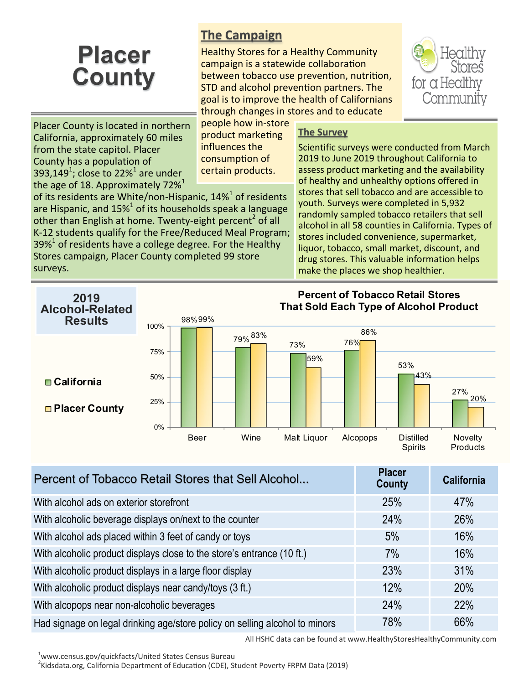# **Placer County**

# **The Campaign**

Healthy Stores for a Healthy Community campaign is a statewide collaboration between tobacco use prevention, nutrition, STD and alcohol prevention partners. The goal is to improve the health of Californians through changes in stores and to educate



Placer County is located in northern California, approximately 60 miles from the state capitol. Placer County has a population of 393,149<sup>1</sup>; close to 22%<sup>1</sup> are under the age of 18. Approximately 72% $^1$ 

people how in-store product marketing influences the consumption of certain products.

of its residents are White/non-Hispanic, 14%<sup>1</sup> of residents are Hispanic, and 15% $^1$  of its households speak a language other than English at home. Twenty-eight percent<sup>2</sup> of all K-12 students qualify for the Free/Reduced Meal Program;  $39\%$ <sup>1</sup> of residents have a college degree. For the Healthy Stores campaign, Placer County completed 99 store surveys.

## **The Survey**

Scientific surveys were conducted from March 2019 to June 2019 throughout California to assess product marketing and the availability of healthy and unhealthy options offered in stores that sell tobacco and are accessible to youth. Surveys were completed in 5,932 randomly sampled tobacco retailers that sell alcohol in all 58 counties in California. Types of stores included convenience, supermarket, liquor, tobacco, small market, discount, and drug stores. This valuable information helps make the places we shop healthier.



| Percent of Tobacco Retail Stores that Sell Alcohol                          | <b>Placer</b><br><b>County</b> | <b>California</b> |
|-----------------------------------------------------------------------------|--------------------------------|-------------------|
| With alcohol ads on exterior storefront                                     | 25%                            | 47%               |
| With alcoholic beverage displays on/next to the counter                     | 24%                            | 26%               |
| With alcohol ads placed within 3 feet of candy or toys                      | 5%                             | 16%               |
| With alcoholic product displays close to the store's entrance (10 ft.)      | 7%                             | 16%               |
| With alcoholic product displays in a large floor display                    | 23%                            | 31%               |
| With alcoholic product displays near candy/toys (3 ft.)                     | 12%                            | 20%               |
| With alcopops near non-alcoholic beverages                                  | 24%                            | 22%               |
| Had signage on legal drinking age/store policy on selling alcohol to minors | 78%                            | 66%               |

All HSHC data can be found at www.HealthyStoresHealthyCommunity.com

<sup>1</sup>www.census.gov/quickfacts/United States Census Bureau

<sup>2</sup>Kidsdata.org, California Department of Education (CDE), Student Poverty FRPM Data (2019)